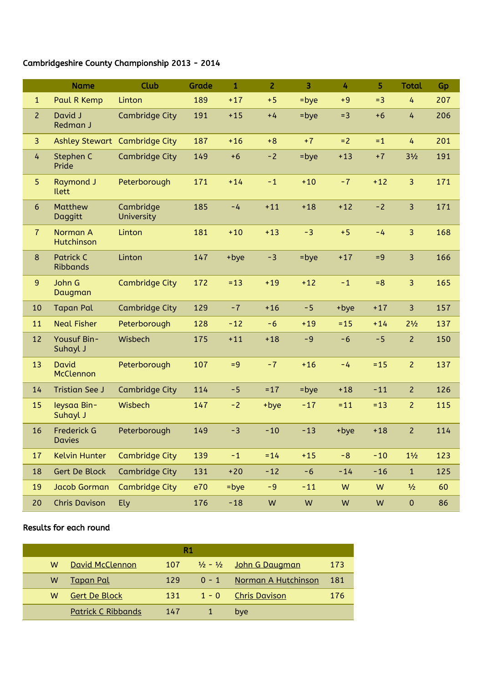## Cambridgeshire County Championship 2013 - 2014

|                | <b>Name</b>                         | <b>Club</b>                   | Grade | $\mathbf{1}$ | $\overline{2}$ | $\overline{3}$ | 4      | 5         | <b>Total</b>   | Gp  |
|----------------|-------------------------------------|-------------------------------|-------|--------------|----------------|----------------|--------|-----------|----------------|-----|
| $\mathbf{1}$   | Paul R Kemp                         | Linton                        | 189   | $+17$        | $+5$           | $=$ bye        | $+9$   | $= 3$     | 4              | 207 |
| $\overline{2}$ | David J<br>Redman J                 | <b>Cambridge City</b>         | 191   | $+15$        | $+4$           | $=$ bye        | $=3$   | $+6$      | $\overline{4}$ | 206 |
| 3 <sup>2</sup> |                                     | Ashley Stewart Cambridge City | 187   | $+16$        | $+8$           | $+7$           | $= 2$  | $= 1$     | 4              | 201 |
| 4              | Stephen C<br>Pride                  | <b>Cambridge City</b>         | 149   | $+6$         | $-2$           | $=$ bye        | $+13$  | $+7$      | $3\frac{1}{2}$ | 191 |
| 5              | <b>Raymond J</b><br><b>Ilett</b>    | Peterborough                  | 171   | $+14$        | $-1$           | $+10$          | $-7$   | $+12$     | 3              | 171 |
| $6\phantom{a}$ | Matthew<br>Daggitt                  | Cambridge<br>University       | 185   | $-4$         | $+11$          | $+18$          | $+12$  | $-2$      | $\overline{3}$ | 171 |
| $\overline{7}$ | Norman A<br>Hutchinson              | Linton                        | 181   | $+10$        | $+13$          | $-3$           | $+5$   | $-4$      | 3              | 168 |
| 8              | <b>Patrick C</b><br><b>Ribbands</b> | Linton                        | 147   | +bye         | $-3$           | $=$ bye        | $+17$  | $= 9$     | $\overline{3}$ | 166 |
| 9              | John G<br>Daugman                   | <b>Cambridge City</b>         | 172   | $= 13$       | $+19$          | $+12$          | $-1$   | $= 8$     | 3              | 165 |
| 10             | <b>Tapan Pal</b>                    | <b>Cambridge City</b>         | 129   | $-7$         | $+16$          | $-5$           | +bye   | $+17$     | 3              | 157 |
| 11             | <b>Neal Fisher</b>                  | Peterborough                  | 128   | $-12$        | $-6$           | $+19$          | $= 15$ | $+14$     | $2^{1/2}$      | 137 |
| 12             | Yousuf Bin-<br>Suhayl J             | Wisbech                       | 175   | $+11$        | $+18$          | $-9$           | $-6$   | $-5$      | $\overline{2}$ | 150 |
| 13             | <b>David</b><br>McClennon           | Peterborough                  | 107   | $= 9$        | $-7$           | $+16$          | $-4$   | $= 15$    | $\overline{2}$ | 137 |
| 14             | <b>Tristian See J</b>               | <b>Cambridge City</b>         | 114   | $-5$         | $= 17$         | $=$ bye        | $+18$  | $-11$     | $\overline{2}$ | 126 |
| 15             | leysaa Bin-<br>Suhayl J             | Wisbech                       | 147   | $-2$         | +bye           | $-17$          | $= 11$ | $= 13$    | $\overline{2}$ | 115 |
| 16             | <b>Frederick G</b><br><b>Davies</b> | Peterborough                  | 149   | $-3$         | $-10$          | $-13$          | +bye   | $+18$     | $\overline{2}$ | 114 |
| 17             | <b>Kelvin Hunter</b>                | <b>Cambridge City</b>         | 139   | $-1$         | $= 14$         | $+15$          | $-8$   | $-10$     | $1\frac{1}{2}$ | 123 |
| 18             | <b>Gert De Block</b>                | <b>Cambridge City</b>         | 131   | $+20$        | $-12$          | $-6$           | $-14$  | $-16$     | $\mathbf{1}$   | 125 |
| 19             | <b>Jacob Gorman</b>                 | <b>Cambridge City</b>         | e70   | $=$ bye      | $-9$           | $-11$          | W      | W         | $\frac{1}{2}$  | 60  |
| 20             | <b>Chris Davison</b>                | Ely                           | 176   | $-18$        | ${\sf W}$      | ${\sf W}$      | W      | ${\sf W}$ | $\pmb{0}$      | 86  |

## Results for each round

| R1 |                           |     |  |                                              |     |  |  |  |  |
|----|---------------------------|-----|--|----------------------------------------------|-----|--|--|--|--|
| w  | David McClennon           | 107 |  | $\frac{1}{2}$ - $\frac{1}{2}$ John G Daugman | 173 |  |  |  |  |
| w  | <u>Tapan Pal</u>          | 129 |  | 0 - 1 Norman A Hutchinson                    | 181 |  |  |  |  |
| w  | <b>Gert De Block</b>      | 131 |  | 1 - 0 Chris Davison                          | 176 |  |  |  |  |
|    | <b>Patrick C Ribbands</b> | 147 |  | bye                                          |     |  |  |  |  |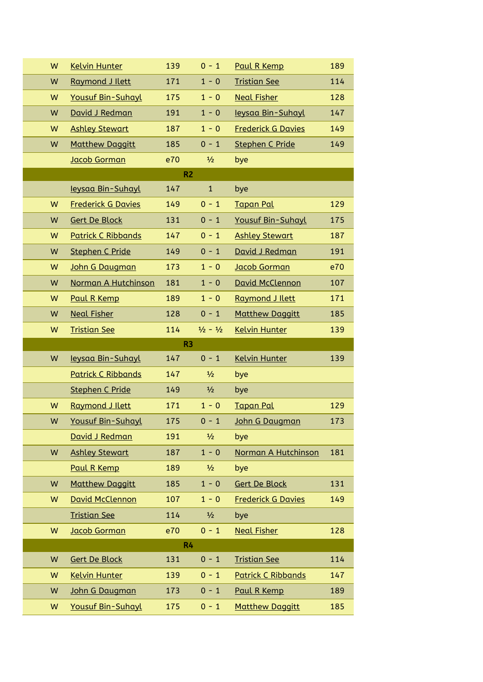| W              | <b>Kelvin Hunter</b>      | 139            | $0 - 1$                     | Paul R Kemp               | 189 |  |  |  |
|----------------|---------------------------|----------------|-----------------------------|---------------------------|-----|--|--|--|
| W              | Raymond J Ilett           | 171            | $1 - 0$                     | <b>Tristian See</b>       | 114 |  |  |  |
| W              | <b>Yousuf Bin-Suhayl</b>  | 175            | $1 - 0$                     | <b>Neal Fisher</b>        | 128 |  |  |  |
| W              | David J Redman            | 191            | $1 - 0$                     | leysaa Bin-Suhayl         | 147 |  |  |  |
| W              | <b>Ashley Stewart</b>     | 187            | $1 - 0$                     | <b>Frederick G Davies</b> | 149 |  |  |  |
| W              | <b>Matthew Daggitt</b>    | 185            | $0 - 1$                     | <b>Stephen C Pride</b>    | 149 |  |  |  |
|                | Jacob Gorman              | e70            | $\frac{1}{2}$               | bye                       |     |  |  |  |
| R <sub>2</sub> |                           |                |                             |                           |     |  |  |  |
|                | leysaa Bin-Suhayl         | 147            | $\mathbf{1}$                | bye                       |     |  |  |  |
| W              | <b>Frederick G Davies</b> | 149            | $0 - 1$                     | <b>Tapan Pal</b>          | 129 |  |  |  |
| W              | <b>Gert De Block</b>      | 131            | $0 - 1$                     | <b>Yousuf Bin-Suhayl</b>  | 175 |  |  |  |
| W              | <b>Patrick C Ribbands</b> | 147            | $0 - 1$                     | <b>Ashley Stewart</b>     | 187 |  |  |  |
| W              | <b>Stephen C Pride</b>    | 149            | $0 - 1$                     | David J Redman            | 191 |  |  |  |
| W              | John G Daugman            | 173            | $1 - 0$                     | <b>Jacob Gorman</b>       | e70 |  |  |  |
| W              | Norman A Hutchinson       | 181            | $1 - 0$                     | David McClennon           | 107 |  |  |  |
| W              | Paul R Kemp               | 189            | $1 - 0$                     | Raymond J Ilett           | 171 |  |  |  |
| W              | <b>Neal Fisher</b>        | 128            | $0 - 1$                     | <b>Matthew Daggitt</b>    | 185 |  |  |  |
| W              | <b>Tristian See</b>       | 114            | $\frac{1}{2} - \frac{1}{2}$ | <b>Kelvin Hunter</b>      | 139 |  |  |  |
| R <sub>3</sub> |                           |                |                             |                           |     |  |  |  |
|                |                           |                |                             |                           |     |  |  |  |
| W              | leysaa Bin-Suhayl         | 147            | $0 - 1$                     | <b>Kelvin Hunter</b>      | 139 |  |  |  |
|                | <b>Patrick C Ribbands</b> | 147            | $\frac{1}{2}$               | bye                       |     |  |  |  |
|                | <b>Stephen C Pride</b>    | 149            | $\frac{1}{2}$               | bye                       |     |  |  |  |
| W              | Raymond J Ilett           | 171            | $1 - 0$                     | <b>Tapan Pal</b>          | 129 |  |  |  |
| W              | Yousuf Bin-Suhayl         | 175            | $0 - 1$                     | John G Daugman            | 173 |  |  |  |
|                | David J Redman            | 191            | $\frac{1}{2}$               | bye                       |     |  |  |  |
| W              | <b>Ashley Stewart</b>     | 187            | $1 - 0$                     | Norman A Hutchinson       | 181 |  |  |  |
|                | Paul R Kemp               | 189            | $\frac{1}{2}$               | bye                       |     |  |  |  |
| W              | <b>Matthew Daggitt</b>    | 185            | $1 - 0$                     | <b>Gert De Block</b>      | 131 |  |  |  |
| W              | David McClennon           | 107            | $1 - 0$                     | <b>Frederick G Davies</b> | 149 |  |  |  |
|                | <b>Tristian See</b>       | 114            | $\frac{1}{2}$               | bye                       |     |  |  |  |
| W              | Jacob Gorman              | e70            | $0 - 1$                     | <b>Neal Fisher</b>        | 128 |  |  |  |
|                |                           | R <sub>4</sub> |                             |                           |     |  |  |  |
| W              | <b>Gert De Block</b>      | 131            | $0 - 1$                     | <b>Tristian See</b>       | 114 |  |  |  |
| W              | <b>Kelvin Hunter</b>      | 139            | $0 - 1$                     | <b>Patrick C Ribbands</b> | 147 |  |  |  |
| W              | John G Daugman            | 173            | $0 - 1$                     | Paul R Kemp               | 189 |  |  |  |